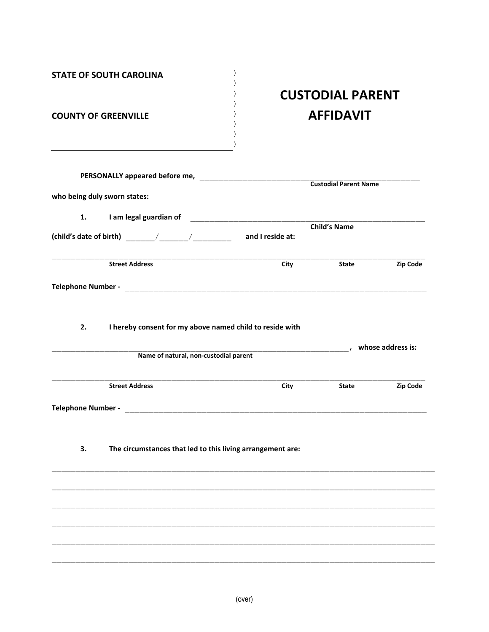| <b>COUNTY OF GREENVILLE</b>                                      | <b>CUSTODIAL PARENT</b><br><b>AFFIDAVIT</b>                                                                                                |                              |          |
|------------------------------------------------------------------|--------------------------------------------------------------------------------------------------------------------------------------------|------------------------------|----------|
|                                                                  |                                                                                                                                            | <b>Custodial Parent Name</b> |          |
| who being duly sworn states:                                     |                                                                                                                                            |                              |          |
| 1.                                                               |                                                                                                                                            |                              |          |
|                                                                  |                                                                                                                                            |                              |          |
| <b>Street Address</b>                                            | City                                                                                                                                       | State                        | Zip Code |
|                                                                  |                                                                                                                                            |                              |          |
| 2.                                                               |                                                                                                                                            |                              |          |
|                                                                  | I hereby consent for my above named child to reside with<br>Name of natural, non-custodial parent<br>Name of natural, non-custodial parent |                              |          |
| <b>Street Address</b>                                            | <b>City</b>                                                                                                                                | <b>State</b>                 | Zip Code |
|                                                                  |                                                                                                                                            |                              |          |
| 3.<br>The circumstances that led to this living arrangement are: |                                                                                                                                            |                              |          |
|                                                                  |                                                                                                                                            |                              |          |
|                                                                  |                                                                                                                                            |                              |          |
|                                                                  |                                                                                                                                            |                              |          |
|                                                                  |                                                                                                                                            |                              |          |